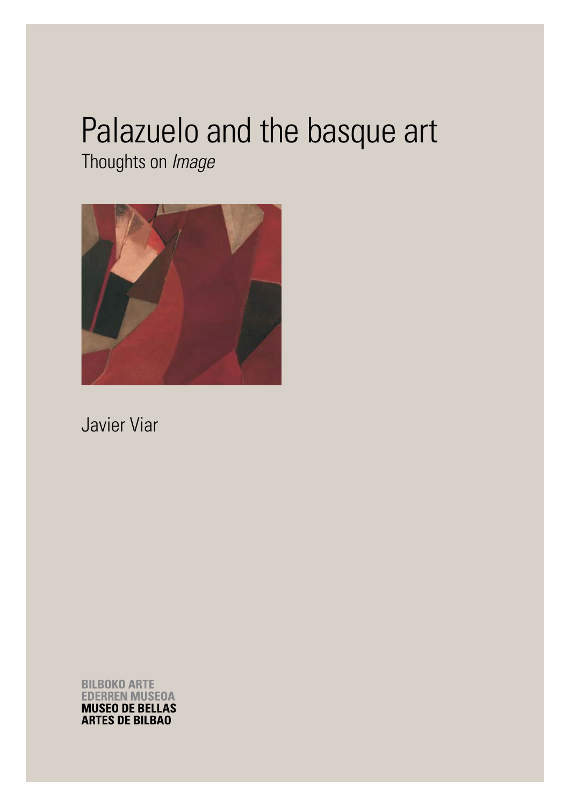# Palazuelo and the basque art

Thoughts on *Image*



Javier Viar

**BILBOKO ARTE EDERREN MUSEOA MUSEO DE BELLAS ARTES DE BILBAO**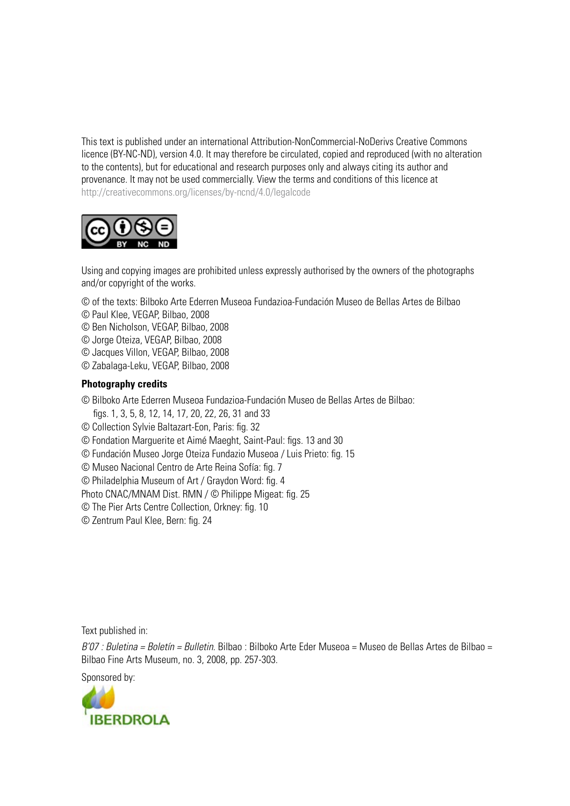This text is published under an international Attribution-NonCommercial-NoDerivs Creative Commons licence (BY-NC-ND), version 4.0. It may therefore be circulated, copied and reproduced (with no alteration to the contents), but for educational and research purposes only and always citing its author and provenance. It may not be used commercially. View the terms and conditions of this licence at http://creativecommons.org/licenses/by-ncnd/4.0/legalcode



Using and copying images are prohibited unless expressly authorised by the owners of the photographs and/or copyright of the works.

- © of the texts: Bilboko Arte Ederren Museoa Fundazioa-Fundación Museo de Bellas Artes de Bilbao
- © Paul Klee, VEGAP, Bilbao, 2008
- © Ben Nicholson, VEGAP, Bilbao, 2008
- © Jorge Oteiza, VEGAP, Bilbao, 2008
- © Jacques Villon, VEGAP, Bilbao, 2008
- © Zabalaga-Leku, VEGAP, Bilbao, 2008

#### **Photography credits**

© Bilboko Arte Ederren Museoa Fundazioa-Fundación Museo de Bellas Artes de Bilbao:

- figs. 1, 3, 5, 8, 12, 14, 17, 20, 22, 26, 31 and 33
- © Collection Sylvie Baltazart-Eon, Paris: fig. 32
- © Fondation Marguerite et Aimé Maeght, Saint-Paul: figs. 13 and 30
- © Fundación Museo Jorge Oteiza Fundazio Museoa / Luis Prieto: fig. 15
- © Museo Nacional Centro de Arte Reina Sofía: fig. 7
- © Philadelphia Museum of Art / Graydon Word: fig. 4
- Photo CNAC/MNAM Dist. RMN / © Philippe Migeat: fig. 25
- © The Pier Arts Centre Collection, Orkney: fig. 10
- © Zentrum Paul Klee, Bern: fig. 24

Text published in:

*B'07 : Buletina = Boletín = Bulletin.* Bilbao : Bilboko Arte Eder Museoa = Museo de Bellas Artes de Bilbao = Bilbao Fine Arts Museum, no. 3, 2008, pp. 257-303.

Sponsored by:

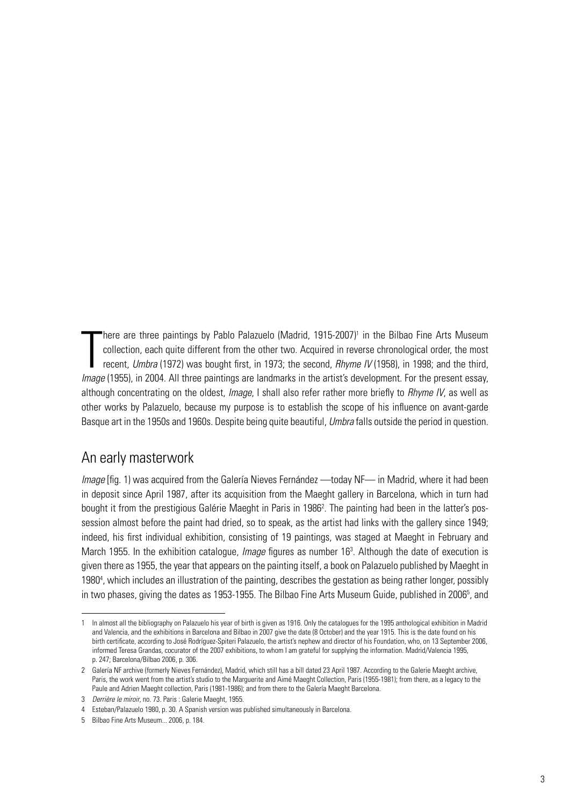T here are three paintings by Pablo Palazuelo (Madrid, 1915-2007)<sup>1</sup> in the Bilbao Fine Arts Museum collection, each quite different from the other two. Acquired in reverse chronological order, the most recent, *Umbra* (1972) was bought first, in 1973; the second, *Rhyme IV* (1958), in 1998; and the third, *Image* (1955), in 2004. All three paintings are landmarks in the artist's development. For the present essay, although concentrating on the oldest, *Image*, I shall also refer rather more briefly to *Rhyme IV*, as well as other works by Palazuelo, because my purpose is to establish the scope of his influence on avant-garde Basque art in the 1950s and 1960s. Despite being quite beautiful, *Umbra* falls outside the period in question.

## An early masterwork

*Image* [fig. 1) was acquired from the Galería Nieves Fernández —today NF— in Madrid, where it had been in deposit since April 1987, after its acquisition from the Maeght gallery in Barcelona, which in turn had bought it from the prestigious Galérie Maeght in Paris in 1986<sup>2</sup>. The painting had been in the latter's possession almost before the paint had dried, so to speak, as the artist had links with the gallery since 1949; indeed, his first individual exhibition, consisting of 19 paintings, was staged at Maeght in February and March 1955. In the exhibition catalogue, *Image* figures as number 16<sup>3</sup>. Although the date of execution is given there as 1955, the year that appears on the painting itself, a book on Palazuelo published by Maeght in 1980<sup>4</sup>, which includes an illustration of the painting, describes the gestation as being rather longer, possibly in two phases, giving the dates as 1953-1955. The Bilbao Fine Arts Museum Guide, published in 2006<sup>5</sup>, and

In almost all the bibliography on Palazuelo his year of birth is given as 1916. Only the catalogues for the 1995 anthological exhibition in Madrid and Valencia, and the exhibitions in Barcelona and Bilbao in 2007 give the date (8 October) and the year 1915. This is the date found on his birth certificate, according to José Rodríguez-Spiteri Palazuelo, the artist's nephew and director of his Foundation, who, on 13 September 2006, informed Teresa Grandas, cocurator of the 2007 exhibitions, to whom I am grateful for supplying the information. Madrid/Valencia 1995, p. 247; Barcelona/Bilbao 2006, p. 306.

<sup>2</sup> Galería NF archive (formerly Nieves Fernández), Madrid, which still has a bill dated 23 April 1987. According to the Galerie Maeght archive, Paris, the work went from the artist's studio to the Marguerite and Aimé Maeght Collection, Paris (1955-1981); from there, as a legacy to the Paule and Adrien Maeght collection, Paris (1981-1986); and from there to the Galería Maeght Barcelona.

<sup>3</sup> *Derrière le miroir*, no. 73. Paris : Galerie Maeght, 1955.

<sup>4</sup> Esteban/Palazuelo 1980, p. 30. A Spanish version was published simultaneously in Barcelona.

<sup>5</sup> Bilbao Fine Arts Museum... 2006, p. 184.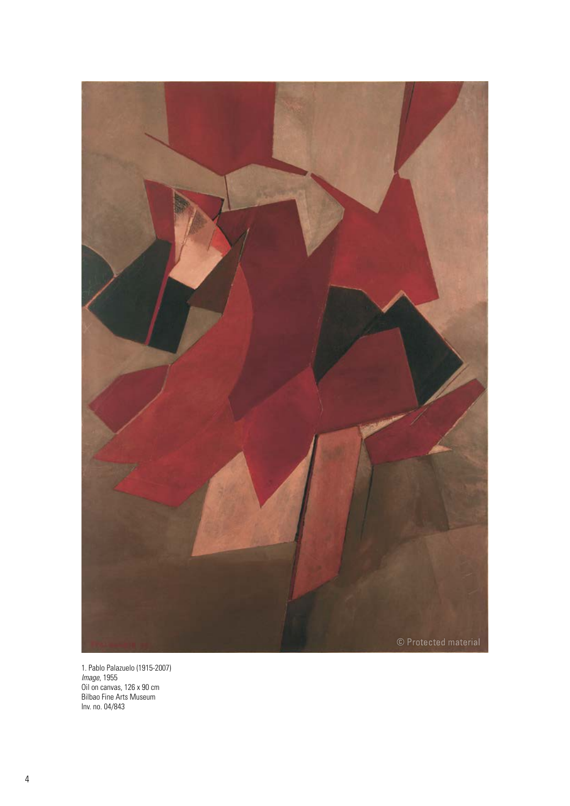

1. Pablo Palazuelo (1915-2007) *Image*, 1955 Oil on canvas, 126 x 90 cm Bilbao Fine Arts Museum Inv. no. 04/843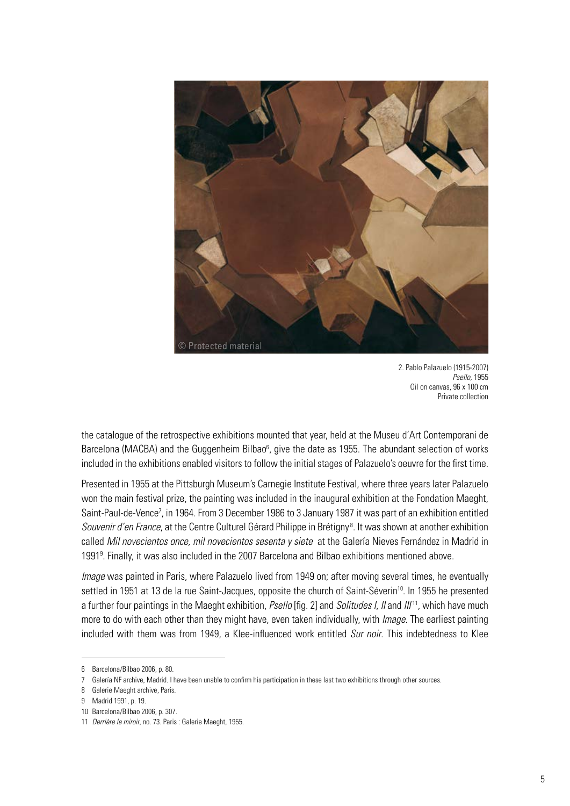

2. Pablo Palazuelo (1915-2007) *Psello,* 1955 Oil on canvas, 96 x 100 cm Private collection

the catalogue of the retrospective exhibitions mounted that year, held at the Museu d'Art Contemporani de Barcelona (MACBA) and the Guggenheim Bilbao<sup>6</sup>, give the date as 1955. The abundant selection of works included in the exhibitions enabled visitors to follow the initial stages of Palazuelo's oeuvre for the first time.

Presented in 1955 at the Pittsburgh Museum's Carnegie Institute Festival, where three years later Palazuelo won the main festival prize, the painting was included in the inaugural exhibition at the Fondation Maeght, Saint-Paul-de-Vence<sup>7</sup>, in 1964. From 3 December 1986 to 3 January 1987 it was part of an exhibition entitled Souvenir d'en France, at the Centre Culturel Gérard Philippe in Brétigny<sup>8</sup>. It was shown at another exhibition called *Mil novecientos once, mil novecientos sesenta y siete* at the Galería Nieves Fernández in Madrid in 19919 . Finally, it was also included in the 2007 Barcelona and Bilbao exhibitions mentioned above.

*Image* was painted in Paris, where Palazuelo lived from 1949 on; after moving several times, he eventually settled in 1951 at 13 de la rue Saint-Jacques, opposite the church of Saint-Séverin<sup>10</sup>. In 1955 he presented a further four paintings in the Maeght exhibition, *Psello* [fig. 2] and *Solitudes I*, *II* and *III* 11, which have much more to do with each other than they might have, even taken individually, with *Image*. The earliest painting included with them was from 1949, a Klee-influenced work entitled *Sur noir*. This indebtedness to Klee

<sup>6</sup> Barcelona/Bilbao 2006, p. 80.

<sup>7</sup> Galería NF archive, Madrid. I have been unable to confirm his participation in these last two exhibitions through other sources.

<sup>8</sup> Galerie Maeght archive, Paris.

<sup>9</sup> Madrid 1991, p. 19.

<sup>10</sup> Barcelona/Bilbao 2006, p. 307.

<sup>11</sup> *Derrière le miroir*, no. 73. Paris : Galerie Maeght, 1955.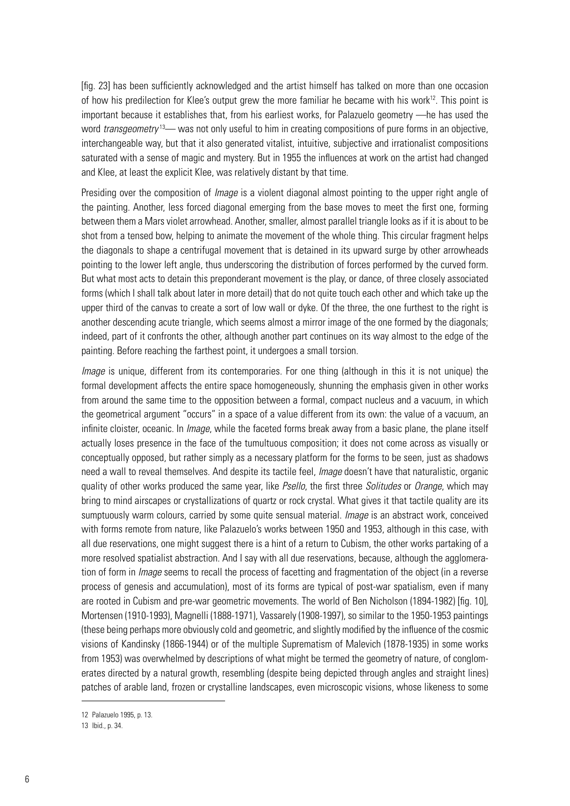[fig. 23] has been sufficiently acknowledged and the artist himself has talked on more than one occasion of how his predilection for Klee's output grew the more familiar he became with his work<sup>12</sup>. This point is important because it establishes that, from his earliest works, for Palazuelo geometry —he has used the word *transgeometry*<sup>13</sup>— was not only useful to him in creating compositions of pure forms in an objective, interchangeable way, but that it also generated vitalist, intuitive, subjective and irrationalist compositions saturated with a sense of magic and mystery. But in 1955 the influences at work on the artist had changed and Klee, at least the explicit Klee, was relatively distant by that time.

Presiding over the composition of *Image* is a violent diagonal almost pointing to the upper right angle of the painting. Another, less forced diagonal emerging from the base moves to meet the first one, forming between them a Mars violet arrowhead. Another, smaller, almost parallel triangle looks as if it is about to be shot from a tensed bow, helping to animate the movement of the whole thing. This circular fragment helps the diagonals to shape a centrifugal movement that is detained in its upward surge by other arrowheads pointing to the lower left angle, thus underscoring the distribution of forces performed by the curved form. But what most acts to detain this preponderant movement is the play, or dance, of three closely associated forms (which I shall talk about later in more detail) that do not quite touch each other and which take up the upper third of the canvas to create a sort of low wall or dyke. Of the three, the one furthest to the right is another descending acute triangle, which seems almost a mirror image of the one formed by the diagonals; indeed, part of it confronts the other, although another part continues on its way almost to the edge of the painting. Before reaching the farthest point, it undergoes a small torsion.

*Image* is unique, different from its contemporaries. For one thing (although in this it is not unique) the formal development affects the entire space homogeneously, shunning the emphasis given in other works from around the same time to the opposition between a formal, compact nucleus and a vacuum, in which the geometrical argument "occurs" in a space of a value different from its own: the value of a vacuum, an infinite cloister, oceanic. In *Image*, while the faceted forms break away from a basic plane, the plane itself actually loses presence in the face of the tumultuous composition; it does not come across as visually or conceptually opposed, but rather simply as a necessary platform for the forms to be seen, just as shadows need a wall to reveal themselves. And despite its tactile feel, *Image* doesn't have that naturalistic, organic quality of other works produced the same year, like *Psello*, the first three *Solitudes* or *Orange*, which may bring to mind airscapes or crystallizations of quartz or rock crystal. What gives it that tactile quality are its sumptuously warm colours, carried by some quite sensual material. *Image* is an abstract work, conceived with forms remote from nature, like Palazuelo's works between 1950 and 1953, although in this case, with all due reservations, one might suggest there is a hint of a return to Cubism, the other works partaking of a more resolved spatialist abstraction. And I say with all due reservations, because, although the agglomeration of form in *Image* seems to recall the process of facetting and fragmentation of the object (in a reverse process of genesis and accumulation), most of its forms are typical of post-war spatialism, even if many are rooted in Cubism and pre-war geometric movements. The world of Ben Nicholson (1894-1982) [fig. 10], Mortensen (1910-1993), Magnelli (1888-1971), Vassarely (1908-1997), so similar to the 1950-1953 paintings (these being perhaps more obviously cold and geometric, and slightly modified by the influence of the cosmic visions of Kandinsky (1866-1944) or of the multiple Suprematism of Malevich (1878-1935) in some works from 1953) was overwhelmed by descriptions of what might be termed the geometry of nature, of conglomerates directed by a natural growth, resembling (despite being depicted through angles and straight lines) patches of arable land, frozen or crystalline landscapes, even microscopic visions, whose likeness to some

<sup>12</sup> Palazuelo 1995, p. 13.

<sup>13</sup> Ibid., p. 34.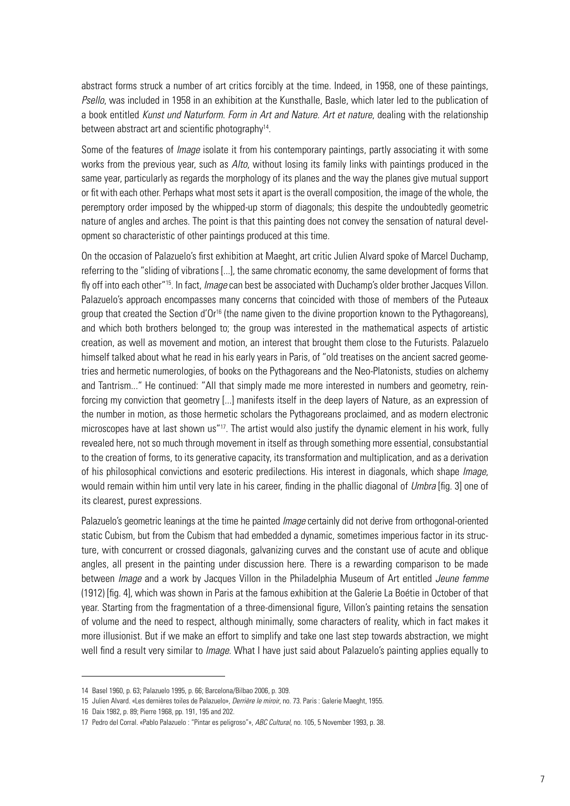abstract forms struck a number of art critics forcibly at the time. Indeed, in 1958, one of these paintings, *Psello*, was included in 1958 in an exhibition at the Kunsthalle, Basle, which later led to the publication of a book entitled *Kunst und Naturform. Form in Art and Nature. Art et nature*, dealing with the relationship between abstract art and scientific photography<sup>14</sup>.

Some of the features of *Image* isolate it from his contemporary paintings, partly associating it with some works from the previous year, such as *Alto*, without losing its family links with paintings produced in the same year, particularly as regards the morphology of its planes and the way the planes give mutual support or fit with each other. Perhaps what most sets it apart is the overall composition, the image of the whole, the peremptory order imposed by the whipped-up storm of diagonals; this despite the undoubtedly geometric nature of angles and arches. The point is that this painting does not convey the sensation of natural development so characteristic of other paintings produced at this time.

On the occasion of Palazuelo's first exhibition at Maeght, art critic Julien Alvard spoke of Marcel Duchamp, referring to the "sliding of vibrations [...], the same chromatic economy, the same development of forms that fly off into each other"15. In fact, *Image* can best be associated with Duchamp's older brother Jacques Villon. Palazuelo's approach encompasses many concerns that coincided with those of members of the Puteaux group that created the Section d'Or<sup>16</sup> (the name given to the divine proportion known to the Pythagoreans). and which both brothers belonged to; the group was interested in the mathematical aspects of artistic creation, as well as movement and motion, an interest that brought them close to the Futurists. Palazuelo himself talked about what he read in his early years in Paris, of "old treatises on the ancient sacred geometries and hermetic numerologies, of books on the Pythagoreans and the Neo-Platonists, studies on alchemy and Tantrism..." He continued: "All that simply made me more interested in numbers and geometry, reinforcing my conviction that geometry [...] manifests itself in the deep layers of Nature, as an expression of the number in motion, as those hermetic scholars the Pythagoreans proclaimed, and as modern electronic microscopes have at last shown us"<sup>17</sup>. The artist would also justify the dynamic element in his work, fully revealed here, not so much through movement in itself as through something more essential, consubstantial to the creation of forms, to its generative capacity, its transformation and multiplication, and as a derivation of his philosophical convictions and esoteric predilections. His interest in diagonals, which shape *Image*, would remain within him until very late in his career, finding in the phallic diagonal of *Umbra* [fig. 3] one of its clearest, purest expressions.

Palazuelo's geometric leanings at the time he painted *Image* certainly did not derive from orthogonal-oriented static Cubism, but from the Cubism that had embedded a dynamic, sometimes imperious factor in its structure, with concurrent or crossed diagonals, galvanizing curves and the constant use of acute and oblique angles, all present in the painting under discussion here. There is a rewarding comparison to be made between *Image* and a work by Jacques Villon in the Philadelphia Museum of Art entitled *Jeune femme* (1912) [fig. 4], which was shown in Paris at the famous exhibition at the Galerie La Boétie in October of that year. Starting from the fragmentation of a three-dimensional figure, Villon's painting retains the sensation of volume and the need to respect, although minimally, some characters of reality, which in fact makes it more illusionist. But if we make an effort to simplify and take one last step towards abstraction, we might well find a result very similar to *Image*. What I have just said about Palazuelo's painting applies equally to

<sup>14</sup> Basel 1960, p. 63; Palazuelo 1995, p. 66; Barcelona/Bilbao 2006, p. 309.

<sup>15</sup> Julien Alvard. «Les dernières toiles de Palazuelo», *Derrière le miroir*, no. 73. Paris : Galerie Maeght, 1955.

<sup>16</sup> Daix 1982, p. 89; Pierre 1968, pp. 191, 195 and 202.

<sup>17</sup> Pedro del Corral. «Pablo Palazuelo : "Pintar es peligroso"», *ABC Cultural*, no. 105, 5 November 1993, p. 38.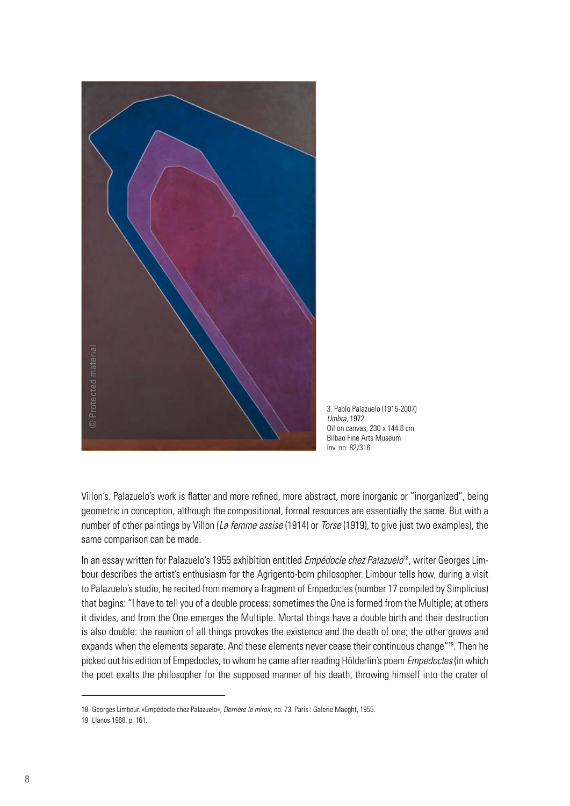

3. Pablo Palazuelo (1915-2007) *Umbra*, 1972 Oil on canvas, 230 x 144.8 cm Bilbao Fine Arts Museum Inv. no. 82/316

Villon's. Palazuelo's work is flatter and more refined, more abstract, more inorganic or "inorganized", being geometric in conception, although the compositional, formal resources are essentially the same. But with a number of other paintings by Villon (*La femme assise* (1914) or *Torse* (1919), to give just two examples), the same comparison can be made.

In an essay written for Palazuelo's 1955 exhibition entitled *Empédocle chez Palazuelo*18, writer Georges Limbour describes the artist's enthusiasm for the Agrigento-born philosopher. Limbour tells how, during a visit to Palazuelo's studio, he recited from memory a fragment of Empedocles (number 17 compiled by Simplicius) that begins: "I have to tell you of a double process: sometimes the One is formed from the Multiple; at others it divides, and from the One emerges the Multiple. Mortal things have a double birth and their destruction is also double: the reunion of all things provokes the existence and the death of one; the other grows and expands when the elements separate. And these elements never cease their continuous change"<sup>19</sup>. Then he picked out his edition of Empedocles, to whom he came after reading Hölderlin's poem *Empedocles* (in which the poet exalts the philosopher for the supposed manner of his death, throwing himself into the crater of

<sup>18</sup> Georges Limbour. «Empédocle chez Palazuelo», *Derrière le miroir*, no. 73. Paris : Galerie Maeght, 1955.

<sup>19</sup> Llanos 1968, p. 161.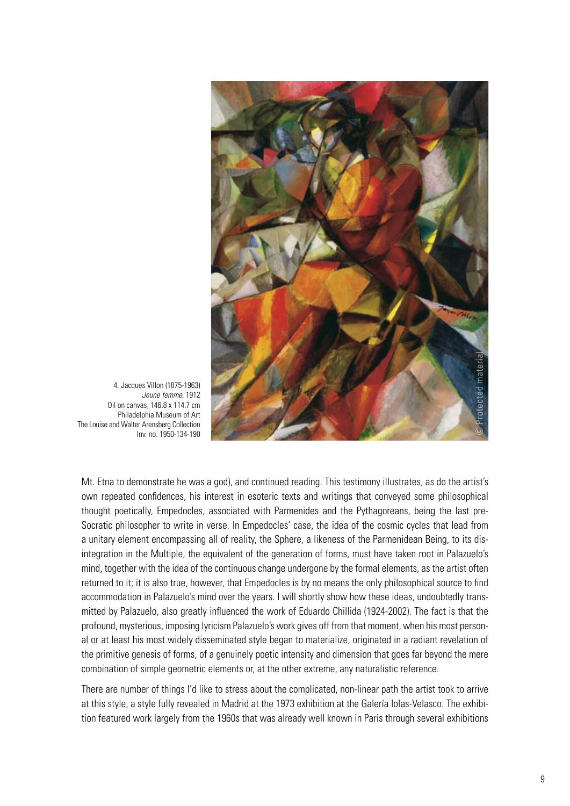

4. Jacques Villon (1875-1963) *Jeune femme*, 1912 Oil on canvas, 146.8 x 114.7 cm Philadelphia Museum of Art The Louise and Walter Arensberg Collection Inv. no. 1950-134-190

Mt. Etna to demonstrate he was a god), and continued reading. This testimony illustrates, as do the artist's own repeated confidences, his interest in esoteric texts and writings that conveyed some philosophical thought poetically, Empedocles, associated with Parmenides and the Pythagoreans, being the last pre-Socratic philosopher to write in verse. In Empedocles' case, the idea of the cosmic cycles that lead from a unitary element encompassing all of reality, the Sphere, a likeness of the Parmenidean Being, to its disintegration in the Multiple, the equivalent of the generation of forms, must have taken root in Palazuelo's mind, together with the idea of the continuous change undergone by the formal elements, as the artist often returned to it; it is also true, however, that Empedocles is by no means the only philosophical source to find accommodation in Palazuelo's mind over the years. I will shortly show how these ideas, undoubtedly transmitted by Palazuelo, also greatly influenced the work of Eduardo Chillida (1924-2002). The fact is that the profound, mysterious, imposing lyricism Palazuelo's work gives off from that moment, when his most personal or at least his most widely disseminated style began to materialize, originated in a radiant revelation of the primitive genesis of forms, of a genuinely poetic intensity and dimension that goes far beyond the mere combination of simple geometric elements or, at the other extreme, any naturalistic reference.

There are number of things I'd like to stress about the complicated, non-linear path the artist took to arrive at this style, a style fully revealed in Madrid at the 1973 exhibition at the Galería Iolas-Velasco. The exhibition featured work largely from the 1960s that was already well known in Paris through several exhibitions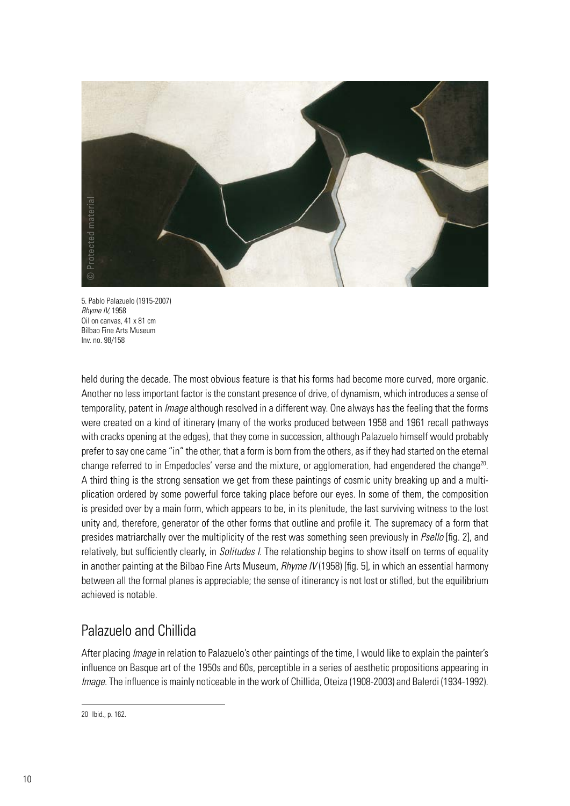

5. Pablo Palazuelo (1915-2007) *Rhyme IV,* 1958 Oil on canvas, 41 x 81 cm Bilbao Fine Arts Museum Inv. no. 98/158

held during the decade. The most obvious feature is that his forms had become more curved, more organic. Another no less important factor is the constant presence of drive, of dynamism, which introduces a sense of temporality, patent in *Image* although resolved in a different way. One always has the feeling that the forms were created on a kind of itinerary (many of the works produced between 1958 and 1961 recall pathways with cracks opening at the edges), that they come in succession, although Palazuelo himself would probably prefer to say one came "in" the other, that a form is born from the others, as if they had started on the eternal change referred to in Empedocles' verse and the mixture, or agglomeration, had engendered the change<sup>20</sup>. A third thing is the strong sensation we get from these paintings of cosmic unity breaking up and a multiplication ordered by some powerful force taking place before our eyes. In some of them, the composition is presided over by a main form, which appears to be, in its plenitude, the last surviving witness to the lost unity and, therefore, generator of the other forms that outline and profile it. The supremacy of a form that presides matriarchally over the multiplicity of the rest was something seen previously in *Psello* [fig. 2], and relatively, but sufficiently clearly, in *Solitudes I*. The relationship begins to show itself on terms of equality in another painting at the Bilbao Fine Arts Museum, *Rhyme IV* (1958) [fig. 5], in which an essential harmony between all the formal planes is appreciable; the sense of itinerancy is not lost or stifled, but the equilibrium achieved is notable.

# Palazuelo and Chillida

After placing *Image* in relation to Palazuelo's other paintings of the time, I would like to explain the painter's influence on Basque art of the 1950s and 60s, perceptible in a series of aesthetic propositions appearing in *Image*. The influence is mainly noticeable in the work of Chillida, Oteiza (1908-2003) and Balerdi (1934-1992).

<sup>20</sup> Ibid., p. 162.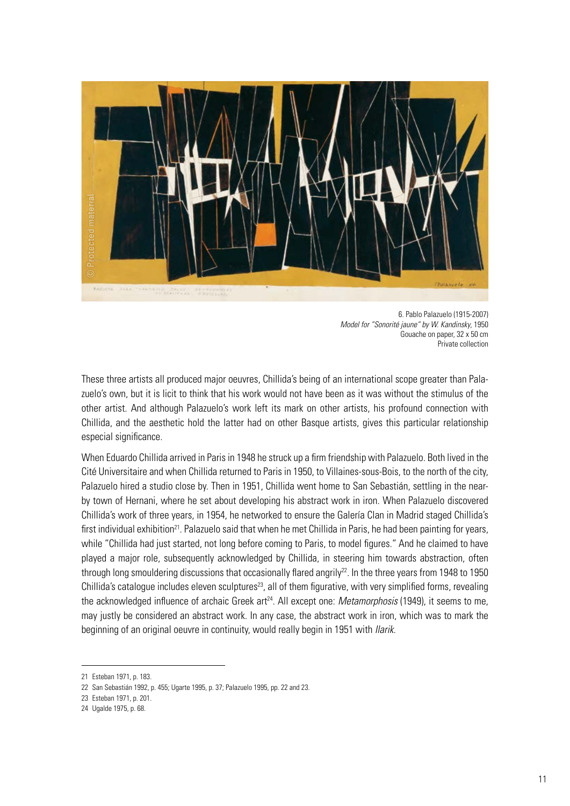

6. Pablo Palazuelo (1915-2007) *Model for "Sonorité jaune" by W. Kandinsky*, 1950 Gouache on paper, 32 x 50 cm Private collection

These three artists all produced major oeuvres, Chillida's being of an international scope greater than Palazuelo's own, but it is licit to think that his work would not have been as it was without the stimulus of the other artist. And although Palazuelo's work left its mark on other artists, his profound connection with Chillida, and the aesthetic hold the latter had on other Basque artists, gives this particular relationship especial significance.

When Eduardo Chillida arrived in Paris in 1948 he struck up a firm friendship with Palazuelo. Both lived in the Cité Universitaire and when Chillida returned to Paris in 1950, to Villaines-sous-Bois, to the north of the city, Palazuelo hired a studio close by. Then in 1951, Chillida went home to San Sebastián, settling in the nearby town of Hernani, where he set about developing his abstract work in iron. When Palazuelo discovered Chillida's work of three years, in 1954, he networked to ensure the Galería Clan in Madrid staged Chillida's first individual exhibition<sup>21</sup>. Palazuelo said that when he met Chillida in Paris, he had been painting for years, while "Chillida had just started, not long before coming to Paris, to model figures." And he claimed to have played a major role, subsequently acknowledged by Chillida, in steering him towards abstraction, often through long smouldering discussions that occasionally flared angrily<sup>22</sup>. In the three years from 1948 to 1950 Chillida's catalogue includes eleven sculptures<sup>23</sup>, all of them figurative, with very simplified forms, revealing the acknowledged influence of archaic Greek art<sup>24</sup>. All except one: *Metamorphosis* (1949), it seems to me, may justly be considered an abstract work. In any case, the abstract work in iron, which was to mark the beginning of an original oeuvre in continuity, would really begin in 1951 with *Ilarik*.

<sup>21</sup> Esteban 1971, p. 183.

<sup>22</sup> San Sebastián 1992, p. 455; Ugarte 1995, p. 37; Palazuelo 1995, pp. 22 and 23.

<sup>23</sup> Esteban 1971, p. 201.

<sup>24</sup> Ugalde 1975, p. 68.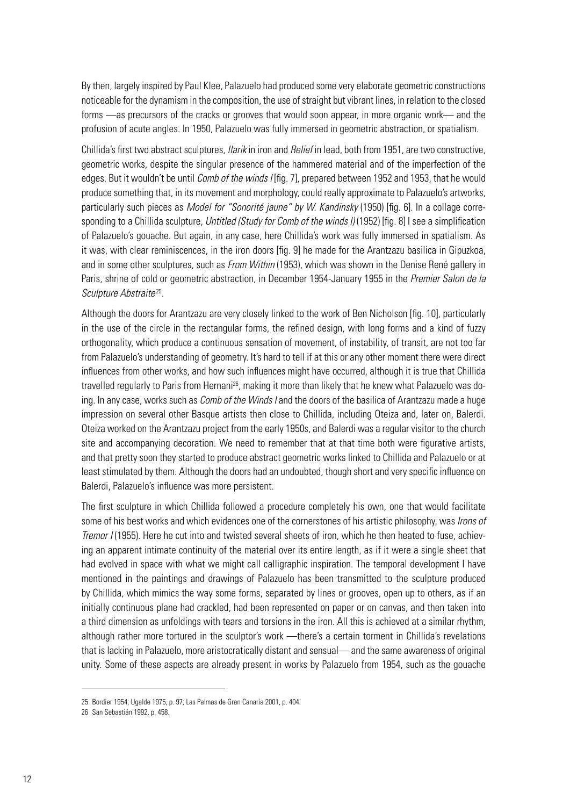By then, largely inspired by Paul Klee, Palazuelo had produced some very elaborate geometric constructions noticeable for the dynamism in the composition, the use of straight but vibrant lines, in relation to the closed forms —as precursors of the cracks or grooves that would soon appear, in more organic work— and the profusion of acute angles. In 1950, Palazuelo was fully immersed in geometric abstraction, or spatialism.

Chillida's first two abstract sculptures, *Ilarik* in iron and *Relief* in lead, both from 1951, are two constructive, geometric works, despite the singular presence of the hammered material and of the imperfection of the edges. But it wouldn't be until *Comb of the winds I* [fig. 7], prepared between 1952 and 1953, that he would produce something that, in its movement and morphology, could really approximate to Palazuelo's artworks, particularly such pieces as *Model for "Sonorité jaune" by W. Kandinsky* (1950) [fig. 6]. In a collage corresponding to a Chillida sculpture, *Untitled (Study for Comb of the winds I)* (1952) [fig. 8] I see a simplification of Palazuelo's gouache. But again, in any case, here Chillida's work was fully immersed in spatialism. As it was, with clear reminiscences, in the iron doors [fig. 9] he made for the Arantzazu basilica in Gipuzkoa, and in some other sculptures, such as *From Within* (1953), which was shown in the Denise René gallery in Paris, shrine of cold or geometric abstraction, in December 1954-January 1955 in the *Premier Salon de la Sculpture Abstraite*25.

Although the doors for Arantzazu are very closely linked to the work of Ben Nicholson [fig. 10], particularly in the use of the circle in the rectangular forms, the refined design, with long forms and a kind of fuzzy orthogonality, which produce a continuous sensation of movement, of instability, of transit, are not too far from Palazuelo's understanding of geometry. It's hard to tell if at this or any other moment there were direct influences from other works, and how such influences might have occurred, although it is true that Chillida travelled regularly to Paris from Hernani<sup>26</sup>, making it more than likely that he knew what Palazuelo was doing. In any case, works such as *Comb of the Winds I* and the doors of the basilica of Arantzazu made a huge impression on several other Basque artists then close to Chillida, including Oteiza and, later on, Balerdi. Oteiza worked on the Arantzazu project from the early 1950s, and Balerdi was a regular visitor to the church site and accompanying decoration. We need to remember that at that time both were figurative artists, and that pretty soon they started to produce abstract geometric works linked to Chillida and Palazuelo or at least stimulated by them. Although the doors had an undoubted, though short and very specific influence on Balerdi, Palazuelo's influence was more persistent.

The first sculpture in which Chillida followed a procedure completely his own, one that would facilitate some of his best works and which evidences one of the cornerstones of his artistic philosophy, was *Irons of Tremor I* (1955). Here he cut into and twisted several sheets of iron, which he then heated to fuse, achieving an apparent intimate continuity of the material over its entire length, as if it were a single sheet that had evolved in space with what we might call calligraphic inspiration. The temporal development I have mentioned in the paintings and drawings of Palazuelo has been transmitted to the sculpture produced by Chillida, which mimics the way some forms, separated by lines or grooves, open up to others, as if an initially continuous plane had crackled, had been represented on paper or on canvas, and then taken into a third dimension as unfoldings with tears and torsions in the iron. All this is achieved at a similar rhythm, although rather more tortured in the sculptor's work —there's a certain torment in Chillida's revelations that is lacking in Palazuelo, more aristocratically distant and sensual— and the same awareness of original unity. Some of these aspects are already present in works by Palazuelo from 1954, such as the gouache

<sup>25</sup> Bordier 1954; Ugalde 1975, p. 97; Las Palmas de Gran Canaria 2001, p. 404.

<sup>26</sup> San Sebastián 1992, p. 458.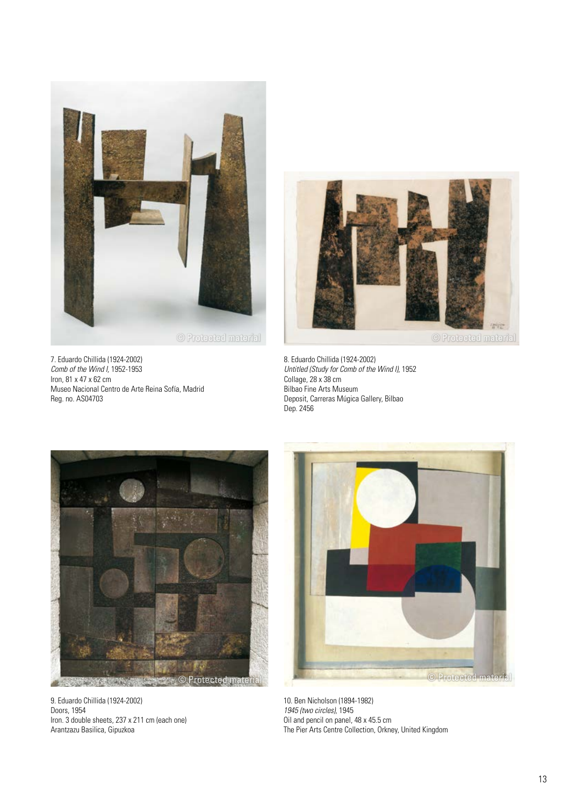

7. Eduardo Chillida (1924-2002) *Comb of the Wind I,* 1952-1953 Iron, 81 x 47 x 62 cm Museo Nacional Centro de Arte Reina Sofía, Madrid Reg. no. AS04703



8. Eduardo Chillida (1924-2002) *Untitled (Study for Comb of the Wind I)*, 1952 Collage, 28 x 38 cm Bilbao Fine Arts Museum Deposit, Carreras Múgica Gallery, Bilbao Dep. 2456



9. Eduardo Chillida (1924-2002) Doors, 1954 Iron. 3 double sheets, 237 x 211 cm (each one) Arantzazu Basilica, Gipuzkoa



10. Ben Nicholson (1894-1982) *1945 (two circles)*, 1945 Oil and pencil on panel, 48 x 45.5 cm The Pier Arts Centre Collection, Orkney, United Kingdom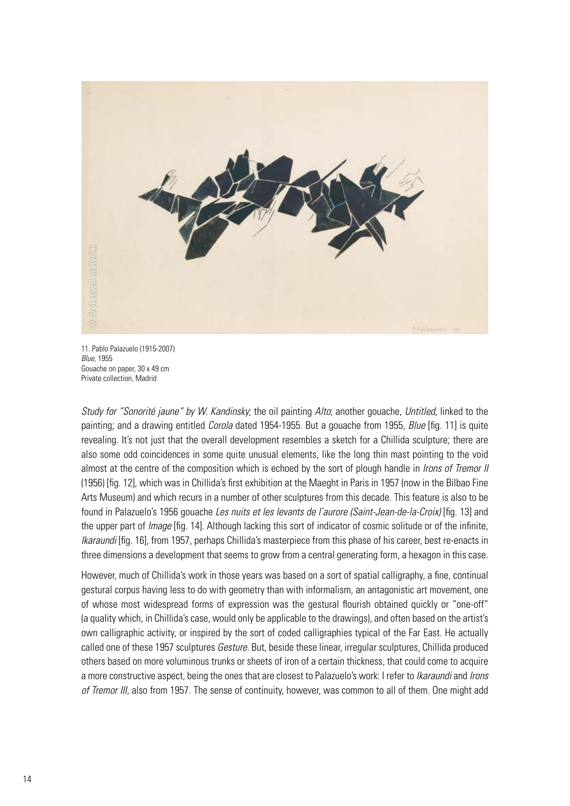

11. Pablo Palazuelo (1915-2007) *Blue,* 1955 Gouache on paper, 30 x 49 cm Private collection, Madrid

*Study for "Sonorité jaune" by W. Kandinsky*; the oil painting *Alto*; another gouache, *Untitled*, linked to the painting; and a drawing entitled *Corola* dated 1954-1955. But a gouache from 1955, *Blue* [fig. 11] is quite revealing. It's not just that the overall development resembles a sketch for a Chillida sculpture; there are also some odd coincidences in some quite unusual elements, like the long thin mast pointing to the void almost at the centre of the composition which is echoed by the sort of plough handle in *Irons of Tremor II* (1956) [fig. 12], which was in Chillida's first exhibition at the Maeght in Paris in 1957 (now in the Bilbao Fine Arts Museum) and which recurs in a number of other sculptures from this decade. This feature is also to be found in Palazuelo's 1956 gouache *Les nuits et les levants de l'aurore (Saint-Jean-de-la-Croix)* [fig. 13] and the upper part of *Image* [fig. 14]. Although lacking this sort of indicator of cosmic solitude or of the infinite, *Ikaraundi* [fig. 16], from 1957, perhaps Chillida's masterpiece from this phase of his career, best re-enacts in three dimensions a development that seems to grow from a central generating form, a hexagon in this case.

However, much of Chillida's work in those years was based on a sort of spatial calligraphy, a fine, continual gestural corpus having less to do with geometry than with informalism, an antagonistic art movement, one of whose most widespread forms of expression was the gestural flourish obtained quickly or "one-off" (a quality which, in Chillida's case, would only be applicable to the drawings), and often based on the artist's own calligraphic activity, or inspired by the sort of coded calligraphies typical of the Far East. He actually called one of these 1957 sculptures *Gesture*. But, beside these linear, irregular sculptures, Chillida produced others based on more voluminous trunks or sheets of iron of a certain thickness, that could come to acquire a more constructive aspect, being the ones that are closest to Palazuelo's work: I refer to *Ikaraundi* and *Irons of Tremor III*, also from 1957. The sense of continuity, however, was common to all of them. One might add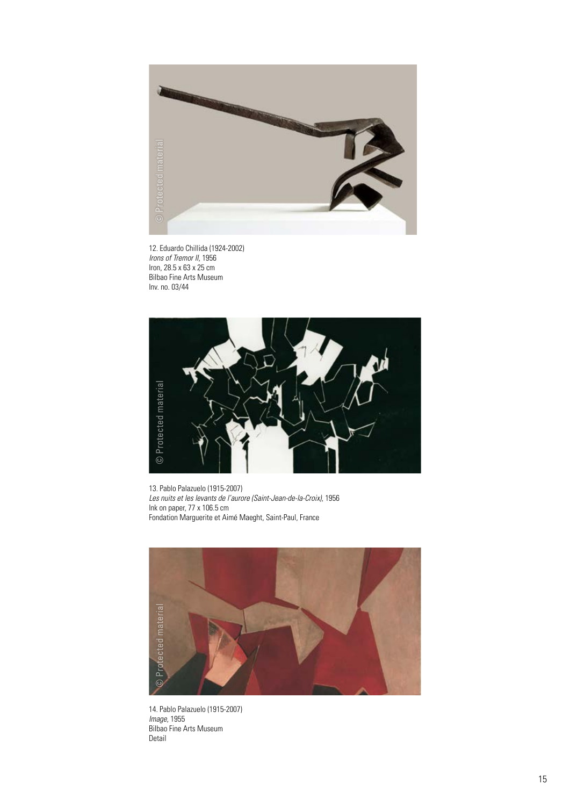

12. Eduardo Chillida (1924-2002) *Irons of Tremor II*, 1956 Iron, 28.5 x 63 x 25 cm Bilbao Fine Arts Museum Inv. no. 03/44



13. Pablo Palazuelo (1915-2007) *Les nuits et les levants de l'aurore (Saint-Jean-de-la-Croix)*, 1956 Ink on paper, 77 x 106.5 cm Fondation Marguerite et Aimé Maeght, Saint-Paul, France



14. Pablo Palazuelo (1915-2007) *Image*, 1955 Bilbao Fine Arts Museum Detail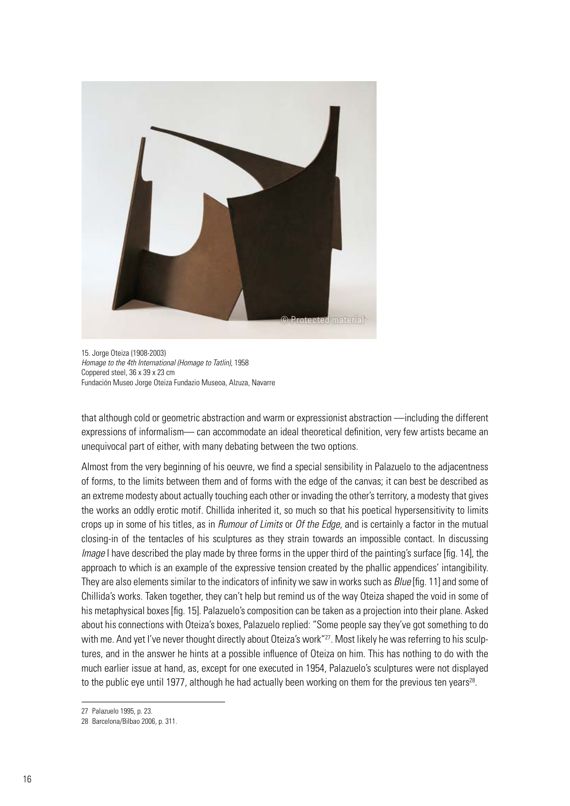

15. Jorge Oteiza (1908-2003) *Homage to the 4th International (Homage to Tatlin)*, 1958 Coppered steel, 36 x 39 x 23 cm Fundación Museo Jorge Oteiza Fundazio Museoa, Alzuza, Navarre

that although cold or geometric abstraction and warm or expressionist abstraction —including the different expressions of informalism— can accommodate an ideal theoretical definition, very few artists became an unequivocal part of either, with many debating between the two options.

Almost from the very beginning of his oeuvre, we find a special sensibility in Palazuelo to the adjacentness of forms, to the limits between them and of forms with the edge of the canvas; it can best be described as an extreme modesty about actually touching each other or invading the other's territory, a modesty that gives the works an oddly erotic motif. Chillida inherited it, so much so that his poetical hypersensitivity to limits crops up in some of his titles, as in *Rumour of Limits* or *Of the Edge*, and is certainly a factor in the mutual closing-in of the tentacles of his sculptures as they strain towards an impossible contact. In discussing *Image* I have described the play made by three forms in the upper third of the painting's surface [fig. 14], the approach to which is an example of the expressive tension created by the phallic appendices' intangibility. They are also elements similar to the indicators of infinity we saw in works such as *Blue* [fig. 11] and some of Chillida's works. Taken together, they can't help but remind us of the way Oteiza shaped the void in some of his metaphysical boxes [fig. 15]. Palazuelo's composition can be taken as a projection into their plane. Asked about his connections with Oteiza's boxes, Palazuelo replied: "Some people say they've got something to do with me. And yet I've never thought directly about Oteiza's work"<sup>27</sup>. Most likely he was referring to his sculptures, and in the answer he hints at a possible influence of Oteiza on him. This has nothing to do with the much earlier issue at hand, as, except for one executed in 1954, Palazuelo's sculptures were not displayed to the public eye until 1977, although he had actually been working on them for the previous ten years<sup>28</sup>.

<sup>27</sup> Palazuelo 1995, p. 23.

<sup>28</sup> Barcelona/Bilbao 2006, p. 311.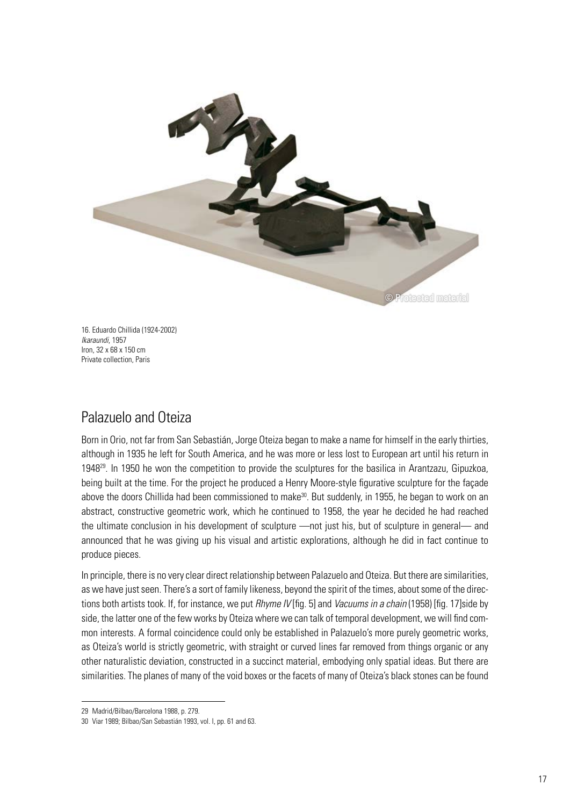

16. Eduardo Chillida (1924-2002) *Ikaraundi*, 1957 Iron, 32 x 68 x 150 cm Private collection, Paris

## Palazuelo and Oteiza

Born in Orio, not far from San Sebastián, Jorge Oteiza began to make a name for himself in the early thirties, although in 1935 he left for South America, and he was more or less lost to European art until his return in 194829. In 1950 he won the competition to provide the sculptures for the basilica in Arantzazu, Gipuzkoa, being built at the time. For the project he produced a Henry Moore-style figurative sculpture for the façade above the doors Chillida had been commissioned to make<sup>30</sup>. But suddenly, in 1955, he began to work on an abstract, constructive geometric work, which he continued to 1958, the year he decided he had reached the ultimate conclusion in his development of sculpture —not just his, but of sculpture in general— and announced that he was giving up his visual and artistic explorations, although he did in fact continue to produce pieces.

In principle, there is no very clear direct relationship between Palazuelo and Oteiza. But there are similarities, as we have just seen. There's a sort of family likeness, beyond the spirit of the times, about some of the directions both artists took. If, for instance, we put *Rhyme IV* [fig. 5] and *Vacuums in a chain* (1958) [fig. 17]side by side, the latter one of the few works by Oteiza where we can talk of temporal development, we will find common interests. A formal coincidence could only be established in Palazuelo's more purely geometric works, as Oteiza's world is strictly geometric, with straight or curved lines far removed from things organic or any other naturalistic deviation, constructed in a succinct material, embodying only spatial ideas. But there are similarities. The planes of many of the void boxes or the facets of many of Oteiza's black stones can be found

<sup>29</sup> Madrid/Bilbao/Barcelona 1988, p. 279.

<sup>30</sup> Viar 1989; Bilbao/San Sebastián 1993, vol. I, pp. 61 and 63.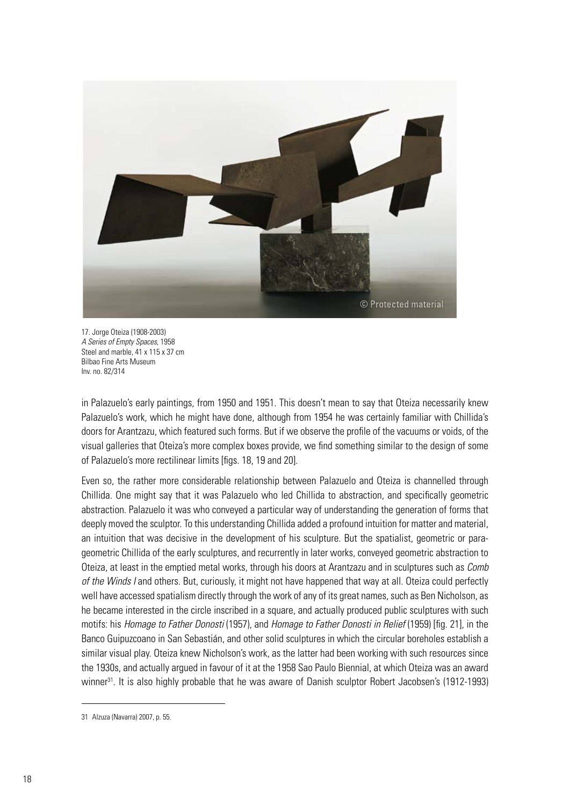

17. Jorge Oteiza (1908-2003) *A Series of Empty Spaces*, 1958 Steel and marble, 41 x 115 x 37 cm Bilbao Fine Arts Museum Inv. no. 82/314

in Palazuelo's early paintings, from 1950 and 1951. This doesn't mean to say that Oteiza necessarily knew Palazuelo's work, which he might have done, although from 1954 he was certainly familiar with Chillida's doors for Arantzazu, which featured such forms. But if we observe the profile of the vacuums or voids, of the visual galleries that Oteiza's more complex boxes provide, we find something similar to the design of some of Palazuelo's more rectilinear limits [figs. 18, 19 and 20].

Even so, the rather more considerable relationship between Palazuelo and Oteiza is channelled through Chillida. One might say that it was Palazuelo who led Chillida to abstraction, and specifically geometric abstraction. Palazuelo it was who conveyed a particular way of understanding the generation of forms that deeply moved the sculptor. To this understanding Chillida added a profound intuition for matter and material, an intuition that was decisive in the development of his sculpture. But the spatialist, geometric or parageometric Chillida of the early sculptures, and recurrently in later works, conveyed geometric abstraction to Oteiza, at least in the emptied metal works, through his doors at Arantzazu and in sculptures such as *Comb of the Winds I* and others. But, curiously, it might not have happened that way at all. Oteiza could perfectly well have accessed spatialism directly through the work of any of its great names, such as Ben Nicholson, as he became interested in the circle inscribed in a square, and actually produced public sculptures with such motifs: his *Homage to Father Donosti* (1957), and *Homage to Father Donosti in Relief* (1959) [fig. 21], in the Banco Guipuzcoano in San Sebastián, and other solid sculptures in which the circular boreholes establish a similar visual play. Oteiza knew Nicholson's work, as the latter had been working with such resources since the 1930s, and actually argued in favour of it at the 1958 Sao Paulo Biennial, at which Oteiza was an award winner31. It is also highly probable that he was aware of Danish sculptor Robert Jacobsen's (1912-1993)

<sup>31</sup> Alzuza (Navarra) 2007, p. 55.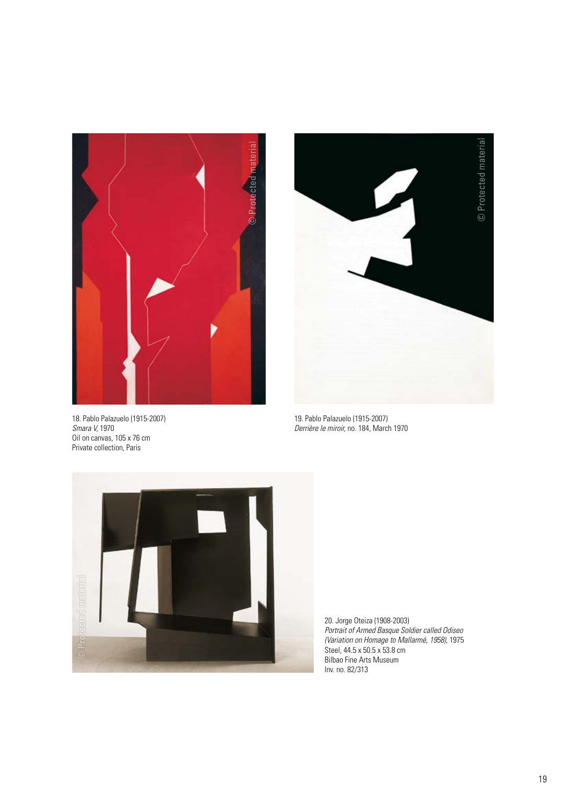

18. Pablo Palazuelo (1915-2007) *Smara V,* 1970 Oil on canvas, 105 x 76 cm Private collection, Paris



19. Pablo Palazuelo (1915-2007) *Derrière le miroir,* no. 184, March 1970



20. Jorge Oteiza (1908-2003) *Portrait of Armed Basque Soldier called Odiseo (Variation on Homage to Mallarmé, 1958)*, 1975 Steel, 44.5 x 50.5 x 53.8 cm Bilbao Fine Arts Museum Inv. no. 82/313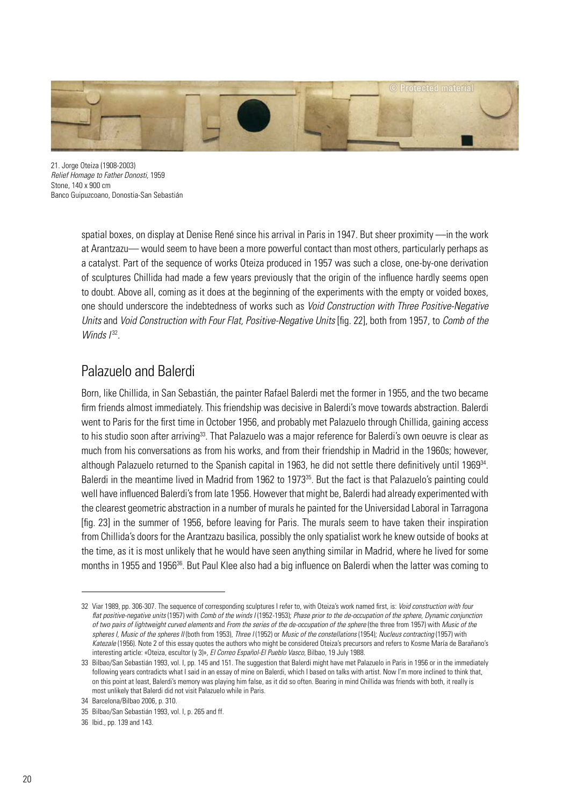

21. Jorge Oteiza (1908-2003) *Relief Homage to Father Donosti,* 1959 Stone, 140 x 900 cm Banco Guipuzcoano, Donostia-San Sebastián

> spatial boxes, on display at Denise René since his arrival in Paris in 1947. But sheer proximity —in the work at Arantzazu— would seem to have been a more powerful contact than most others, particularly perhaps as a catalyst. Part of the sequence of works Oteiza produced in 1957 was such a close, one-by-one derivation of sculptures Chillida had made a few years previously that the origin of the influence hardly seems open to doubt. Above all, coming as it does at the beginning of the experiments with the empty or voided boxes, one should underscore the indebtedness of works such as *Void Construction with Three Positive-Negative Units* and *Void Construction with Four Flat, Positive-Negative Units* [fig. 22], both from 1957, to *Comb of the Winds*  $I^{32}$ .

# Palazuelo and Balerdi

Born, like Chillida, in San Sebastián, the painter Rafael Balerdi met the former in 1955, and the two became firm friends almost immediately. This friendship was decisive in Balerdi's move towards abstraction. Balerdi went to Paris for the first time in October 1956, and probably met Palazuelo through Chillida, gaining access to his studio soon after arriving<sup>33</sup>. That Palazuelo was a major reference for Balerdi's own oeuvre is clear as much from his conversations as from his works, and from their friendship in Madrid in the 1960s; however, although Palazuelo returned to the Spanish capital in 1963, he did not settle there definitively until 1969<sup>34</sup>. Balerdi in the meantime lived in Madrid from 1962 to 1973<sup>35</sup>. But the fact is that Palazuelo's painting could well have influenced Balerdi's from late 1956. However that might be, Balerdi had already experimented with the clearest geometric abstraction in a number of murals he painted for the Universidad Laboral in Tarragona [fig. 23] in the summer of 1956, before leaving for Paris. The murals seem to have taken their inspiration from Chillida's doors for the Arantzazu basilica, possibly the only spatialist work he knew outside of books at the time, as it is most unlikely that he would have seen anything similar in Madrid, where he lived for some months in 1955 and 1956<sup>36</sup>. But Paul Klee also had a big influence on Balerdi when the latter was coming to

<sup>32</sup> Viar 1989, pp. 306-307. The sequence of corresponding sculptures I refer to, with Oteiza's work named first, is: *Void construction with four flat positive-negative units* (1957) with *Comb of the winds I* (1952-1953); *Phase prior to the de-occupation of the sphere, Dynamic conjunction of two pairs of lightweight curved elements* and *From the series of the de-occupation of the sphere* (the three from 1957) with *Music of the spheres I*, *Music of the spheres II* (both from 1953), *Three I* (1952) or *Music of the constellations* (1954); *Nucleus contracting* (1957) with *Katezale* (1956). Note 2 of this essay quotes the authors who might be considered Oteiza's precursors and refers to Kosme María de Barañano's interesting article: «Oteiza, escultor (y 3)», *El Correo Español-El Pueblo Vasco,* Bilbao, 19 July 1988.

<sup>33</sup> Bilbao/San Sebastián 1993, vol. I, pp. 145 and 151. The suggestion that Balerdi might have met Palazuelo in Paris in 1956 or in the immediately following years contradicts what I said in an essay of mine on Balerdi, which I based on talks with artist. Now I'm more inclined to think that, on this point at least, Balerdi's memory was playing him false, as it did so often. Bearing in mind Chillida was friends with both, it really is most unlikely that Balerdi did not visit Palazuelo while in Paris.

<sup>34</sup> Barcelona/Bilbao 2006, p. 310.

<sup>35</sup> Bilbao/San Sebastián 1993, vol. I, p. 265 and ff.

<sup>36</sup> Ibid., pp. 139 and 143.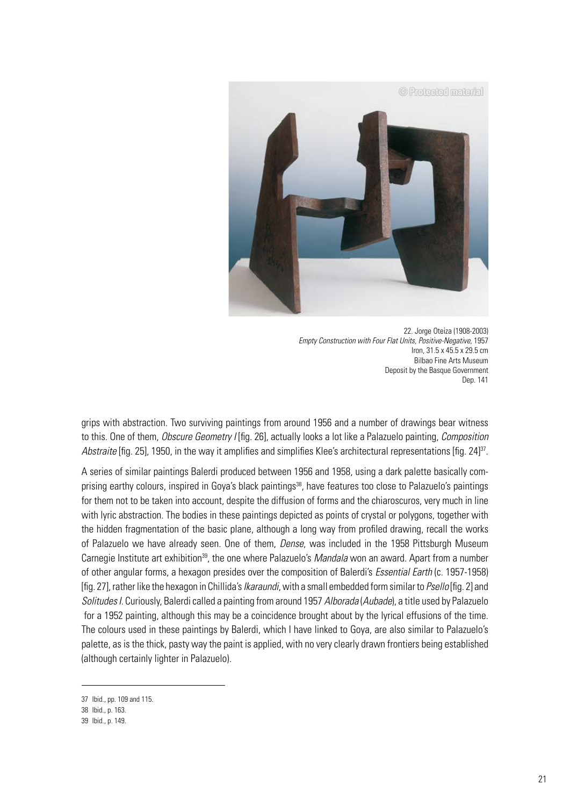

22. Jorge Oteiza (1908-2003) *Empty Construction with Four Flat Units, Positive-Negative,* 1957 Iron, 31.5 x 45.5 x 29.5 cm Bilbao Fine Arts Museum Deposit by the Basque Government Dep. 141

grips with abstraction. Two surviving paintings from around 1956 and a number of drawings bear witness to this. One of them, *Obscure Geometry I* [fig. 26], actually looks a lot like a Palazuelo painting, *Composition Abstraite* [fig. 25], 1950, in the way it amplifies and simplifies Klee's architectural representations [fig. 24]<sup>37</sup>.

A series of similar paintings Balerdi produced between 1956 and 1958, using a dark palette basically comprising earthy colours, inspired in Gova's black paintings<sup>38</sup>, have features too close to Palazuelo's paintings for them not to be taken into account, despite the diffusion of forms and the chiaroscuros, very much in line with lyric abstraction. The bodies in these paintings depicted as points of crystal or polygons, together with the hidden fragmentation of the basic plane, although a long way from profiled drawing, recall the works of Palazuelo we have already seen. One of them, *Dense*, was included in the 1958 Pittsburgh Museum Carnegie Institute art exhibition<sup>39</sup>, the one where Palazuelo's *Mandala* won an award. Apart from a number of other angular forms, a hexagon presides over the composition of Balerdi's *Essential Earth* (c. 1957-1958) [fig. 27], rather like the hexagon in Chillida's *Ikaraundi*, with a small embedded form similar to *Psello* [fig. 2] and *Solitudes I*. Curiously, Balerdi called a painting from around 1957 *Alborada* (*Aubade*), a title used by Palazuelo for a 1952 painting, although this may be a coincidence brought about by the lyrical effusions of the time. The colours used in these paintings by Balerdi, which I have linked to Goya, are also similar to Palazuelo's palette, as is the thick, pasty way the paint is applied, with no very clearly drawn frontiers being established (although certainly lighter in Palazuelo).

<sup>37</sup> Ibid., pp. 109 and 115.

<sup>38</sup> Ibid., p. 163.

<sup>39</sup> Ibid., p. 149.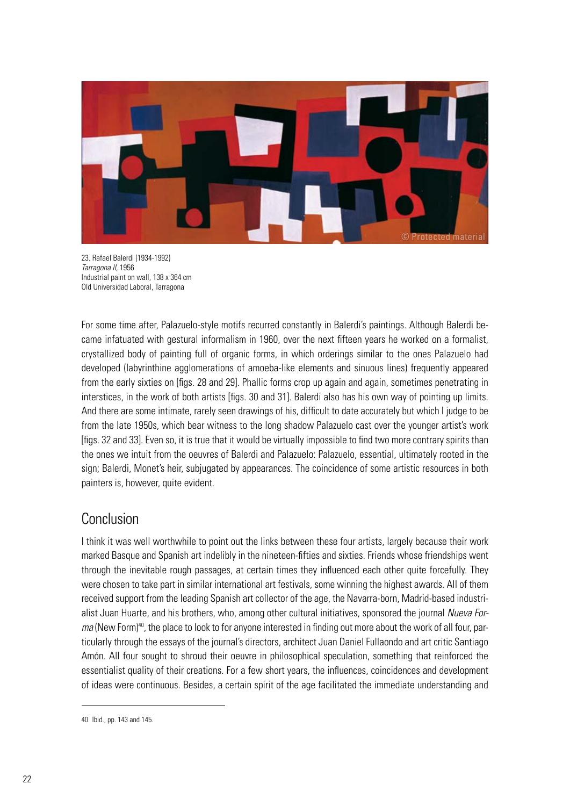

23. Rafael Balerdi (1934-1992) *Tarragona II,* 1956 Industrial paint on wall, 138 x 364 cm Old Universidad Laboral, Tarragona

For some time after, Palazuelo-style motifs recurred constantly in Balerdi's paintings. Although Balerdi became infatuated with gestural informalism in 1960, over the next fifteen years he worked on a formalist, crystallized body of painting full of organic forms, in which orderings similar to the ones Palazuelo had developed (labyrinthine agglomerations of amoeba-like elements and sinuous lines) frequently appeared from the early sixties on [figs. 28 and 29]. Phallic forms crop up again and again, sometimes penetrating in interstices, in the work of both artists [figs. 30 and 31]. Balerdi also has his own way of pointing up limits. And there are some intimate, rarely seen drawings of his, difficult to date accurately but which I judge to be from the late 1950s, which bear witness to the long shadow Palazuelo cast over the younger artist's work [figs. 32 and 33]. Even so, it is true that it would be virtually impossible to find two more contrary spirits than the ones we intuit from the oeuvres of Balerdi and Palazuelo: Palazuelo, essential, ultimately rooted in the sign; Balerdi, Monet's heir, subjugated by appearances. The coincidence of some artistic resources in both painters is, however, quite evident.

## Conclusion

I think it was well worthwhile to point out the links between these four artists, largely because their work marked Basque and Spanish art indelibly in the nineteen-fifties and sixties. Friends whose friendships went through the inevitable rough passages, at certain times they influenced each other quite forcefully. They were chosen to take part in similar international art festivals, some winning the highest awards. All of them received support from the leading Spanish art collector of the age, the Navarra-born, Madrid-based industrialist Juan Huarte, and his brothers, who, among other cultural initiatives, sponsored the journal *Nueva Forma* (New Form)<sup>40</sup>, the place to look to for anyone interested in finding out more about the work of all four, particularly through the essays of the journal's directors, architect Juan Daniel Fullaondo and art critic Santiago Amón. All four sought to shroud their oeuvre in philosophical speculation, something that reinforced the essentialist quality of their creations. For a few short years, the influences, coincidences and development of ideas were continuous. Besides, a certain spirit of the age facilitated the immediate understanding and

<sup>40</sup> Ibid., pp. 143 and 145.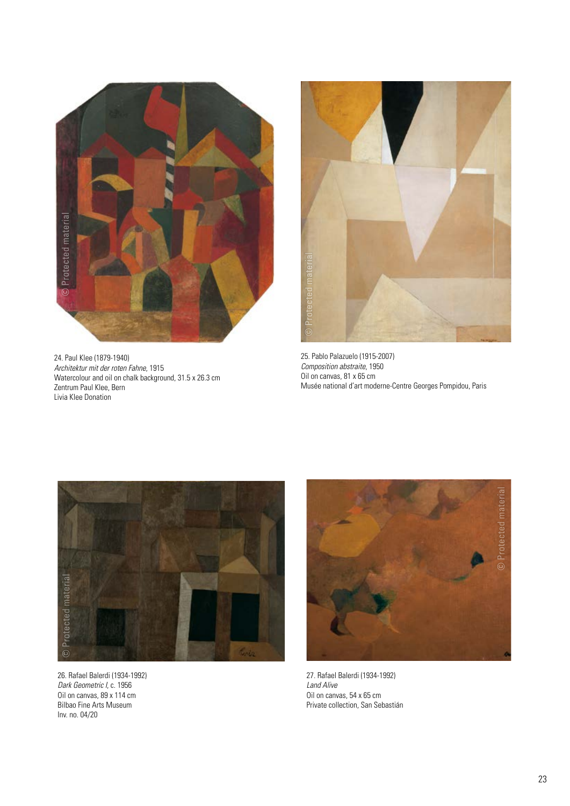

24. Paul Klee (1879-1940) *Architektur mit der roten Fahne*, 1915 Watercolour and oil on chalk background, 31.5 x 26.3 cm Zentrum Paul Klee, Bern Livia Klee Donation



25. Pablo Palazuelo (1915-2007) *Composition abstraite*, 1950 Oil on canvas, 81 x 65 cm Musée national d'art moderne-Centre Georges Pompidou, Paris



26. Rafael Balerdi (1934-1992) *Dark Geometric I*, c. 1956 Oil on canvas, 89 x 114 cm Bilbao Fine Arts Museum Inv. no. 04/20



27. Rafael Balerdi (1934-1992) *Land Alive* Oil on canvas, 54 x 65 cm Private collection, San Sebastián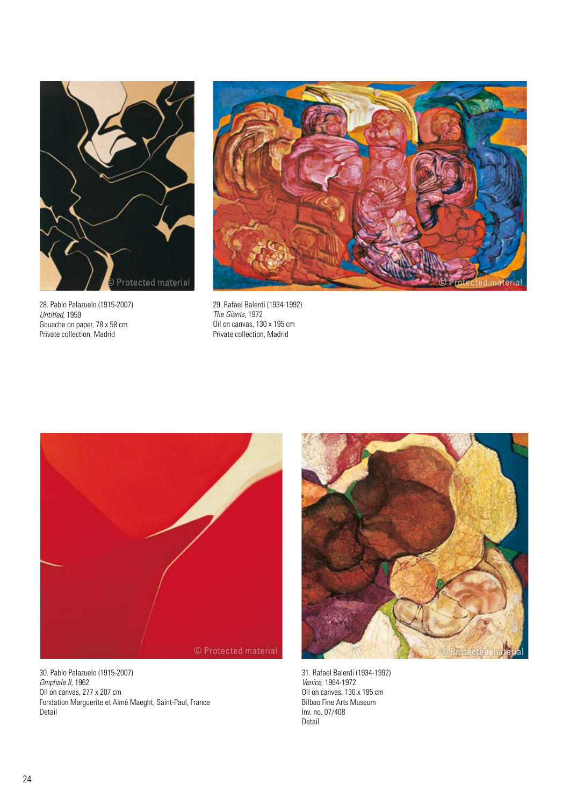

28. Pablo Palazuelo (1915-2007) *Untitled*, 1959 Gouache on paper, 78 x 58 cm Private collection, Madrid



29. Rafael Balerdi (1934-1992) *The Giants*, 1972 Oil on canvas, 130 x 195 cm Private collection, Madrid



30. Pablo Palazuelo (1915-2007) *Omphale II*, 1962 Oil on canvas, 277 x 207 cm Fondation Marguerite et Aimé Maeght, Saint-Paul, France Detail



31. Rafael Balerdi (1934-1992) *Venice*, 1964-1972 Oil on canvas, 130 x 195 cm Bilbao Fine Arts Museum Inv. no. 07/408 Detail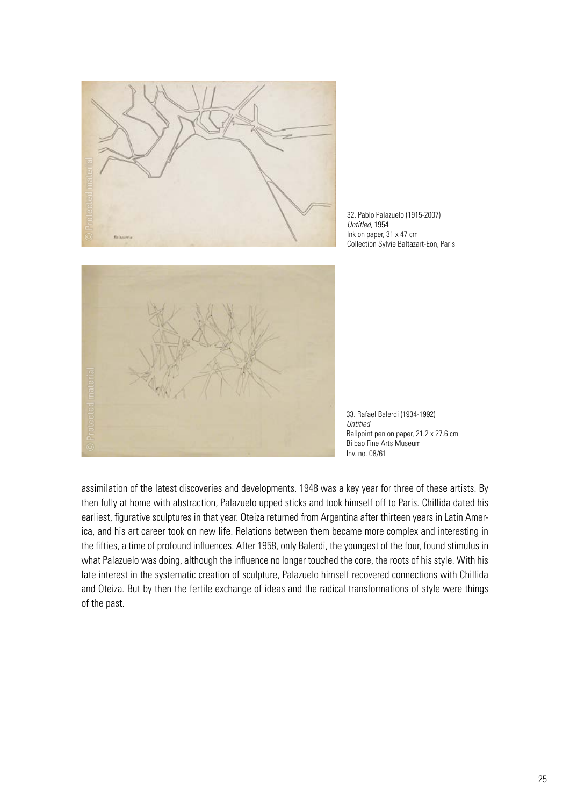

32. Pablo Palazuelo (1915-2007) *Untitled*, 1954 Ink on paper, 31 x 47 cm Collection Sylvie Baltazart-Eon, Paris



33. Rafael Balerdi (1934-1992) *Untitled* Ballpoint pen on paper, 21.2 x 27.6 cm Bilbao Fine Arts Museum Inv. no. 08/61

assimilation of the latest discoveries and developments. 1948 was a key year for three of these artists. By then fully at home with abstraction, Palazuelo upped sticks and took himself off to Paris. Chillida dated his earliest, figurative sculptures in that year. Oteiza returned from Argentina after thirteen years in Latin America, and his art career took on new life. Relations between them became more complex and interesting in the fifties, a time of profound influences. After 1958, only Balerdi, the youngest of the four, found stimulus in what Palazuelo was doing, although the influence no longer touched the core, the roots of his style. With his late interest in the systematic creation of sculpture, Palazuelo himself recovered connections with Chillida and Oteiza. But by then the fertile exchange of ideas and the radical transformations of style were things of the past.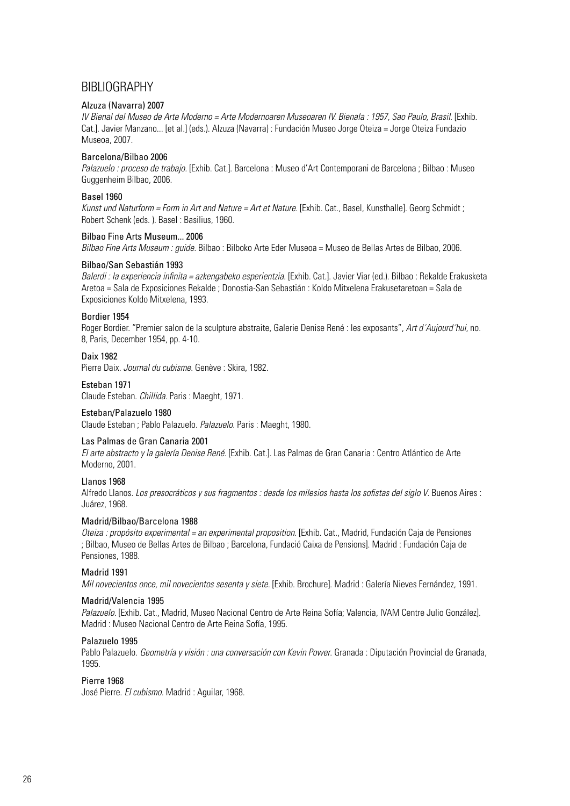### BIBLIOGRAPHY

#### Alzuza (Navarra) 2007

*IV Bienal del Museo de Arte Moderno = Arte Modernoaren Museoaren IV. Bienala : 1957, Sao Paulo, Brasil.* [Exhib. Cat.]. Javier Manzano... [et al.] (eds.). Alzuza (Navarra) : Fundación Museo Jorge Oteiza = Jorge Oteiza Fundazio Museoa, 2007.

#### Barcelona/Bilbao 2006

*Palazuelo : proceso de trabajo.* [Exhib. Cat.]. Barcelona : Museo d'Art Contemporani de Barcelona ; Bilbao : Museo Guggenheim Bilbao, 2006.

#### Basel 1960

*Kunst und Naturform = Form in Art and Nature = Art et Nature*. [Exhib. Cat., Basel, Kunsthalle]. Georg Schmidt ; Robert Schenk (eds. ). Basel : Basilius, 1960.

#### Bilbao Fine Arts Museum... 2006

*Bilbao Fine Arts Museum : guide.* Bilbao : Bilboko Arte Eder Museoa = Museo de Bellas Artes de Bilbao, 2006.

#### Bilbao/San Sebastián 1993

*Balerdi : la experiencia infinita = azkengabeko esperientzia*. [Exhib. Cat.]. Javier Viar (ed.). Bilbao : Rekalde Erakusketa Aretoa = Sala de Exposiciones Rekalde ; Donostia-San Sebastián : Koldo Mitxelena Erakusetaretoan = Sala de Exposiciones Koldo Mitxelena, 1993.

#### Bordier 1954

Roger Bordier. "Premier salon de la sculpture abstraite, Galerie Denise René : les exposants", *Art d´Aujourd´hui*, no. 8, Paris, December 1954, pp. 4-10.

#### Daix 1982

Pierre Daix. *Journal du cubisme*. Genève : Skira, 1982.

#### Esteban 1971

Claude Esteban. *Chillida*. Paris : Maeght, 1971.

#### Esteban/Palazuelo 1980

Claude Esteban ; Pablo Palazuelo. *Palazuelo*. Paris : Maeght, 1980.

#### Las Palmas de Gran Canaria 2001

*El arte abstracto y la galería Denise René*. [Exhib. Cat.]. Las Palmas de Gran Canaria : Centro Atlántico de Arte Moderno, 2001.

#### Llanos 1968

Alfredo Llanos. *Los presocráticos y sus fragmentos : desde los milesios hasta los sofistas del siglo V*. Buenos Aires : Juárez, 1968.

#### Madrid/Bilbao/Barcelona 1988

*Oteiza : propósito experimental = an experimental proposition*. [Exhib. Cat., Madrid, Fundación Caja de Pensiones ; Bilbao, Museo de Bellas Artes de Bilbao ; Barcelona, Fundació Caixa de Pensions]. Madrid : Fundación Caja de Pensiones, 1988.

#### Madrid 1991

*Mil novecientos once, mil novecientos sesenta y siete*. [Exhib. Brochure]. Madrid : Galería Nieves Fernández, 1991.

#### Madrid/Valencia 1995

Palazuelo. [Exhib. Cat., Madrid, Museo Nacional Centro de Arte Reina Sofía; Valencia, IVAM Centre Julio González]. Madrid : Museo Nacional Centro de Arte Reina Sofía, 1995.

#### Palazuelo 1995

Pablo Palazuelo. *Geometría y visión : una conversación con Kevin Power*. Granada : Diputación Provincial de Granada, 1995.

#### Pierre 1968

José Pierre. *El cubismo*. Madrid : Aguilar, 1968.